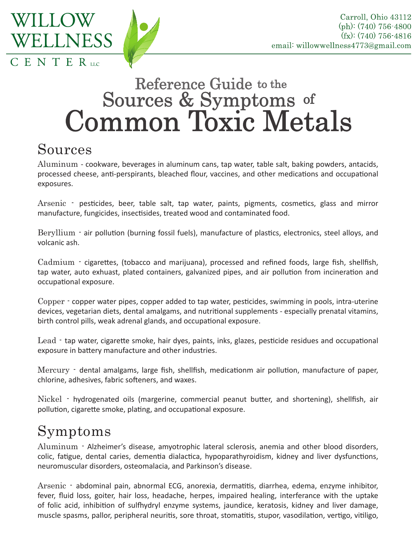

## **Reference Guide to the** Sources & Symptoms of<br>Common Toxic Metals

## Sources

Aluminum - cookware, beverages in aluminum cans, tap water, table salt, baking powders, antacids, processed cheese, anti-perspirants, bleached flour, vaccines, and other medications and occupational exposures.

Arsenic - pesticides, beer, table salt, tap water, paints, pigments, cosmetics, glass and mirror manufacture, fungicides, insectisides, treated wood and contaminated food.

Beryllium - air pollution (burning fossil fuels), manufacture of plastics, electronics, steel alloys, and volcanic ash.

Cadmium - cigarettes, (tobacco and marijuana), processed and refined foods, large fish, shellfish, tap water, auto exhuast, plated containers, galvanized pipes, and air pollution from incineration and occupational exposure.

Copper - copper water pipes, copper added to tap water, pesticides, swimming in pools, intra-uterine devices, vegetarian diets, dental amalgams, and nutritional supplements - especially prenatal vitamins, birth control pills, weak adrenal glands, and occupational exposure.

Lead - tap water, cigarette smoke, hair dyes, paints, inks, glazes, pesticide residues and occupational exposure in battery manufacture and other industries.

Mercury - dental amalgams, large fish, shellfish, medicationm air pollution, manufacture of paper, chlorine, adhesives, fabric softeners, and waxes.

Nickel - hydrogenated oils (margerine, commercial peanut butter, and shortening), shellfish, air pollution, cigarette smoke, plating, and occupational exposure.

## Symptoms

Aluminum - Alzheimer's disease, amyotrophic lateral sclerosis, anemia and other blood disorders, colic, fatigue, dental caries, dementia dialactica, hypoparathyroidism, kidney and liver dysfunctions, neuromuscular disorders, osteomalacia, and Parkinson's disease.

Arsenic - abdominal pain, abnormal ECG, anorexia, dermatitis, diarrhea, edema, enzyme inhibitor, fever, fluid loss, goiter, hair loss, headache, herpes, impaired healing, interferance with the uptake of folic acid, inhibition of sulfhydryl enzyme systems, jaundice, keratosis, kidney and liver damage, muscle spasms, pallor, peripheral neuritis, sore throat, stomatitis, stupor, vasodilation, vertigo, vitiligo,